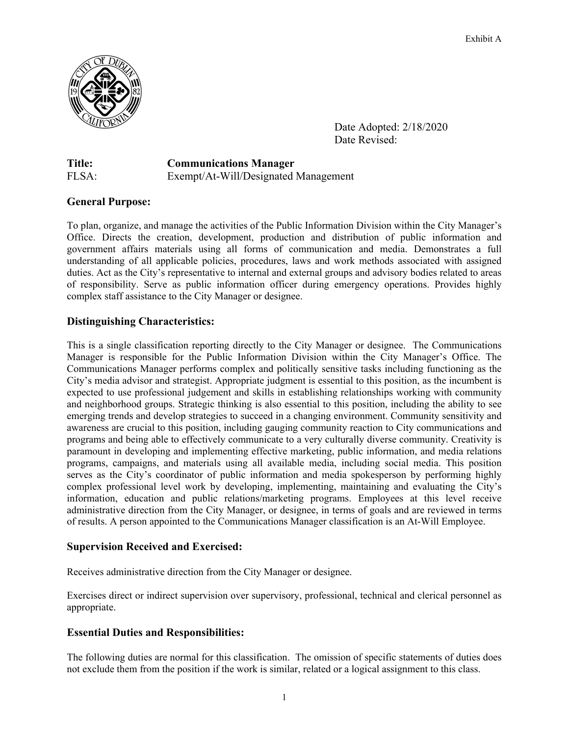

 Date Adopted: 2/18/2020 Date Revised:

**Title: Communications Manager**  FLSA:Exempt/At-Will/Designated Management

# **General Purpose:**

To plan, organize, and manage the activities of the Public Information Division within the City Manager's Office. Directs the creation, development, production and distribution of public information and government affairs materials using all forms of communication and media. Demonstrates a full understanding of all applicable policies, procedures, laws and work methods associated with assigned duties. Act as the City's representative to internal and external groups and advisory bodies related to areas of responsibility. Serve as public information officer during emergency operations. Provides highly complex staff assistance to the City Manager or designee.

# **Distinguishing Characteristics:**

This is a single classification reporting directly to the City Manager or designee. The Communications Manager is responsible for the Public Information Division within the City Manager's Office. The Communications Manager performs complex and politically sensitive tasks including functioning as the City's media advisor and strategist. Appropriate judgment is essential to this position, as the incumbent is expected to use professional judgement and skills in establishing relationships working with community and neighborhood groups. Strategic thinking is also essential to this position, including the ability to see emerging trends and develop strategies to succeed in a changing environment. Community sensitivity and awareness are crucial to this position, including gauging community reaction to City communications and programs and being able to effectively communicate to a very culturally diverse community. Creativity is paramount in developing and implementing effective marketing, public information, and media relations programs, campaigns, and materials using all available media, including social media. This position serves as the City's coordinator of public information and media spokesperson by performing highly complex professional level work by developing, implementing, maintaining and evaluating the City's information, education and public relations/marketing programs. Employees at this level receive administrative direction from the City Manager, or designee, in terms of goals and are reviewed in terms of results. A person appointed to the Communications Manager classification is an At-Will Employee.

# **Supervision Received and Exercised:**

Receives administrative direction from the City Manager or designee.

Exercises direct or indirect supervision over supervisory, professional, technical and clerical personnel as appropriate.

# **Essential Duties and Responsibilities:**

The following duties are normal for this classification. The omission of specific statements of duties does not exclude them from the position if the work is similar, related or a logical assignment to this class.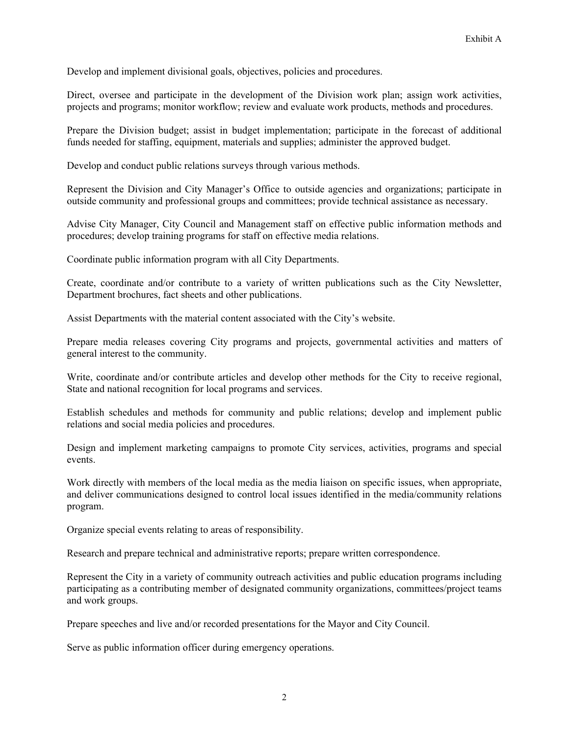Develop and implement divisional goals, objectives, policies and procedures.

Direct, oversee and participate in the development of the Division work plan; assign work activities, projects and programs; monitor workflow; review and evaluate work products, methods and procedures.

Prepare the Division budget; assist in budget implementation; participate in the forecast of additional funds needed for staffing, equipment, materials and supplies; administer the approved budget.

Develop and conduct public relations surveys through various methods.

Represent the Division and City Manager's Office to outside agencies and organizations; participate in outside community and professional groups and committees; provide technical assistance as necessary.

Advise City Manager, City Council and Management staff on effective public information methods and procedures; develop training programs for staff on effective media relations.

Coordinate public information program with all City Departments.

Create, coordinate and/or contribute to a variety of written publications such as the City Newsletter, Department brochures, fact sheets and other publications.

Assist Departments with the material content associated with the City's website.

Prepare media releases covering City programs and projects, governmental activities and matters of general interest to the community.

Write, coordinate and/or contribute articles and develop other methods for the City to receive regional, State and national recognition for local programs and services.

Establish schedules and methods for community and public relations; develop and implement public relations and social media policies and procedures.

Design and implement marketing campaigns to promote City services, activities, programs and special events.

Work directly with members of the local media as the media liaison on specific issues, when appropriate, and deliver communications designed to control local issues identified in the media/community relations program.

Organize special events relating to areas of responsibility.

Research and prepare technical and administrative reports; prepare written correspondence.

Represent the City in a variety of community outreach activities and public education programs including participating as a contributing member of designated community organizations, committees/project teams and work groups.

Prepare speeches and live and/or recorded presentations for the Mayor and City Council.

Serve as public information officer during emergency operations.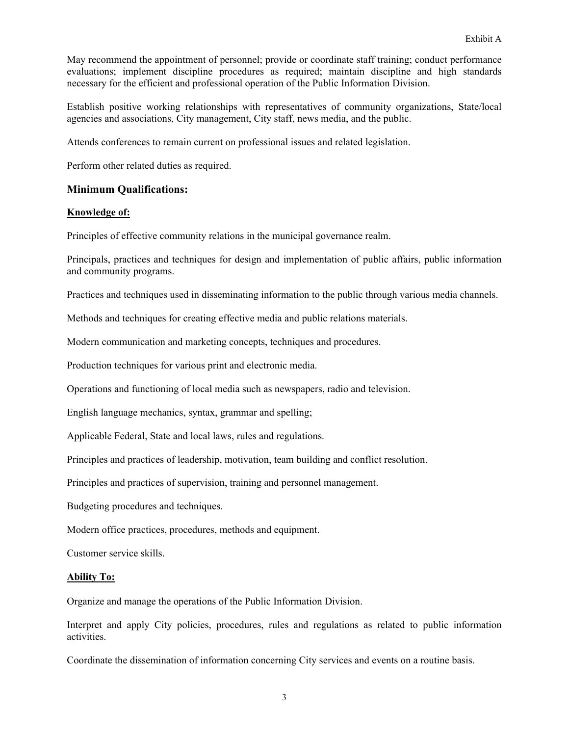May recommend the appointment of personnel; provide or coordinate staff training; conduct performance evaluations; implement discipline procedures as required; maintain discipline and high standards necessary for the efficient and professional operation of the Public Information Division.

Establish positive working relationships with representatives of community organizations, State/local agencies and associations, City management, City staff, news media, and the public.

Attends conferences to remain current on professional issues and related legislation.

Perform other related duties as required.

### **Minimum Qualifications:**

#### **Knowledge of:**

Principles of effective community relations in the municipal governance realm.

Principals, practices and techniques for design and implementation of public affairs, public information and community programs.

Practices and techniques used in disseminating information to the public through various media channels.

Methods and techniques for creating effective media and public relations materials.

Modern communication and marketing concepts, techniques and procedures.

Production techniques for various print and electronic media.

Operations and functioning of local media such as newspapers, radio and television.

English language mechanics, syntax, grammar and spelling;

Applicable Federal, State and local laws, rules and regulations.

Principles and practices of leadership, motivation, team building and conflict resolution.

Principles and practices of supervision, training and personnel management.

Budgeting procedures and techniques.

Modern office practices, procedures, methods and equipment.

Customer service skills.

### **Ability To:**

Organize and manage the operations of the Public Information Division.

Interpret and apply City policies, procedures, rules and regulations as related to public information activities.

Coordinate the dissemination of information concerning City services and events on a routine basis.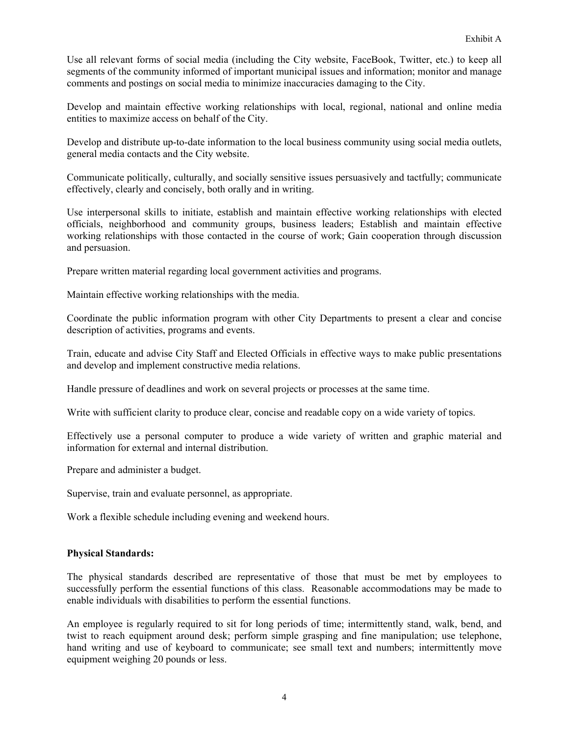Use all relevant forms of social media (including the City website, FaceBook, Twitter, etc.) to keep all segments of the community informed of important municipal issues and information; monitor and manage comments and postings on social media to minimize inaccuracies damaging to the City.

Develop and maintain effective working relationships with local, regional, national and online media entities to maximize access on behalf of the City.

Develop and distribute up-to-date information to the local business community using social media outlets, general media contacts and the City website.

Communicate politically, culturally, and socially sensitive issues persuasively and tactfully; communicate effectively, clearly and concisely, both orally and in writing.

Use interpersonal skills to initiate, establish and maintain effective working relationships with elected officials, neighborhood and community groups, business leaders; Establish and maintain effective working relationships with those contacted in the course of work; Gain cooperation through discussion and persuasion.

Prepare written material regarding local government activities and programs.

Maintain effective working relationships with the media.

Coordinate the public information program with other City Departments to present a clear and concise description of activities, programs and events.

Train, educate and advise City Staff and Elected Officials in effective ways to make public presentations and develop and implement constructive media relations.

Handle pressure of deadlines and work on several projects or processes at the same time.

Write with sufficient clarity to produce clear, concise and readable copy on a wide variety of topics.

Effectively use a personal computer to produce a wide variety of written and graphic material and information for external and internal distribution.

Prepare and administer a budget.

Supervise, train and evaluate personnel, as appropriate.

Work a flexible schedule including evening and weekend hours.

### **Physical Standards:**

The physical standards described are representative of those that must be met by employees to successfully perform the essential functions of this class. Reasonable accommodations may be made to enable individuals with disabilities to perform the essential functions.

An employee is regularly required to sit for long periods of time; intermittently stand, walk, bend, and twist to reach equipment around desk; perform simple grasping and fine manipulation; use telephone, hand writing and use of keyboard to communicate; see small text and numbers; intermittently move equipment weighing 20 pounds or less.